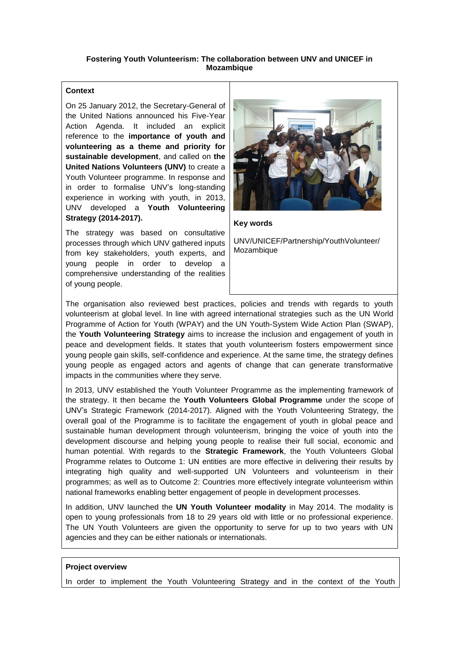### **Fostering Youth Volunteerism: The collaboration between UNV and UNICEF in Mozambique**

# **Context**

On 25 January 2012, the Secretary-General of the United Nations announced his Five-Year Action Agenda. It included an explicit reference to the **importance of youth and volunteering as a theme and priority for sustainable development**, and called on **the United Nations Volunteers (UNV)** to create a Youth Volunteer programme. In response and in order to formalise UNV's long-standing experience in working with youth, in 2013, UNV developed a **Youth Volunteering Strategy (2014-2017).** 

The strategy was based on consultative processes through which UNV gathered inputs from key stakeholders, youth experts, and young people in order to develop a comprehensive understanding of the realities of young people.



**Key words**

UNV/UNICEF/Partnership/YouthVolunteer/ Mozambique

The organisation also reviewed best practices, policies and trends with regards to youth volunteerism at global level. In line with agreed international strategies such as the UN World Programme of Action for Youth (WPAY) and the UN Youth-System Wide Action Plan (SWAP), the **Youth Volunteering Strategy** aims to increase the inclusion and engagement of youth in peace and development fields. It states that youth volunteerism fosters empowerment since young people gain skills, self-confidence and experience. At the same time, the strategy defines young people as engaged actors and agents of change that can generate transformative impacts in the communities where they serve.

In 2013, UNV established the Youth Volunteer Programme as the implementing framework of the strategy. It then became the **Youth Volunteers Global Programme** under the scope of UNV's Strategic Framework (2014-2017). Aligned with the Youth Volunteering Strategy, the overall goal of the Programme is to facilitate the engagement of youth in global peace and sustainable human development through volunteerism, bringing the voice of youth into the development discourse and helping young people to realise their full social, economic and human potential. With regards to the **Strategic Framework**, the Youth Volunteers Global Programme relates to Outcome 1: UN entities are more effective in delivering their results by integrating high quality and well-supported UN Volunteers and volunteerism in their programmes; as well as to Outcome 2: Countries more effectively integrate volunteerism within national frameworks enabling better engagement of people in development processes.

In addition, UNV launched the **UN Youth Volunteer modality** in May 2014. The modality is open to young professionals from 18 to 29 years old with little or no professional experience. The UN Youth Volunteers are given the opportunity to serve for up to two years with UN agencies and they can be either nationals or internationals.

#### **Project overview**

In order to implement the Youth Volunteering Strategy and in the context of the Youth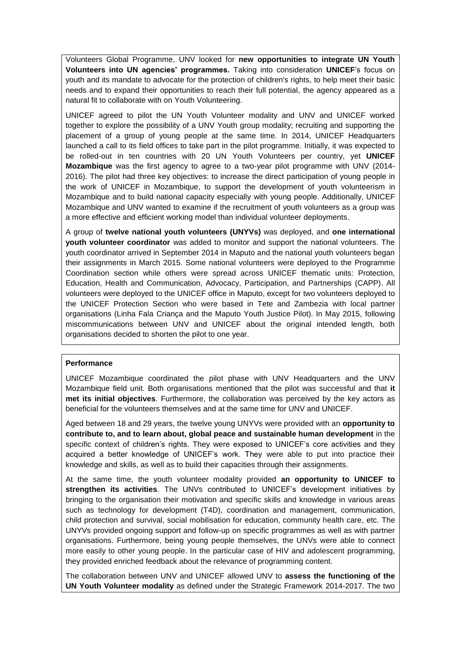Volunteers Global Programme, UNV looked for **new opportunities to integrate UN Youth Volunteers into UN agencies' programmes.** Taking into consideration **UNICEF**'s focus on youth and its mandate to advocate for the protection of children's rights, to help meet their basic needs and to expand their opportunities to reach their full potential, the agency appeared as a natural fit to collaborate with on Youth Volunteering.

UNICEF agreed to pilot the UN Youth Volunteer modality and UNV and UNICEF worked together to explore the possibility of a UNV Youth group modality; recruiting and supporting the placement of a group of young people at the same time. In 2014, UNICEF Headquarters launched a call to its field offices to take part in the pilot programme. Initially, it was expected to be rolled-out in ten countries with 20 UN Youth Volunteers per country, yet **UNICEF Mozambique** was the first agency to agree to a two-year pilot programme with UNV (2014- 2016). The pilot had three key objectives: to increase the direct participation of young people in the work of UNICEF in Mozambique, to support the development of youth volunteerism in Mozambique and to build national capacity especially with young people. Additionally, UNICEF Mozambique and UNV wanted to examine if the recruitment of youth volunteers as a group was a more effective and efficient working model than individual volunteer deployments.

A group of **twelve national youth volunteers (UNYVs)** was deployed, and **one international youth volunteer coordinator** was added to monitor and support the national volunteers. The youth coordinator arrived in September 2014 in Maputo and the national youth volunteers began their assignments in March 2015. Some national volunteers were deployed to the Programme Coordination section while others were spread across UNICEF thematic units: Protection, Education, Health and Communication, Advocacy, Participation, and Partnerships (CAPP). All volunteers were deployed to the UNICEF office in Maputo, except for two volunteers deployed to the UNICEF Protection Section who were based in Tete and Zambezia with local partner organisations (Linha Fala Criança and the Maputo Youth Justice Pilot). In May 2015, following miscommunications between UNV and UNICEF about the original intended length, both organisations decided to shorten the pilot to one year.

# **Performance**

UNICEF Mozambique coordinated the pilot phase with UNV Headquarters and the UNV Mozambique field unit. Both organisations mentioned that the pilot was successful and that **it met its initial objectives**. Furthermore, the collaboration was perceived by the key actors as beneficial for the volunteers themselves and at the same time for UNV and UNICEF.

Aged between 18 and 29 years, the twelve young UNYVs were provided with an **opportunity to contribute to, and to learn about, global peace and sustainable human development** in the specific context of children's rights. They were exposed to UNICEF's core activities and they acquired a better knowledge of UNICEF's work. They were able to put into practice their knowledge and skills, as well as to build their capacities through their assignments.

At the same time, the youth volunteer modality provided **an opportunity to UNICEF to strengthen its activities**. The UNVs contributed to UNICEF's development initiatives by bringing to the organisation their motivation and specific skills and knowledge in various areas such as technology for development (T4D), coordination and management, communication, child protection and survival, social mobilisation for education, community health care, etc. The UNYVs provided ongoing support and follow-up on specific programmes as well as with partner organisations. Furthermore, being young people themselves, the UNVs were able to connect more easily to other young people. In the particular case of HIV and adolescent programming, they provided enriched feedback about the relevance of programming content.

The collaboration between UNV and UNICEF allowed UNV to **assess the functioning of the UN Youth Volunteer modality** as defined under the Strategic Framework 2014-2017. The two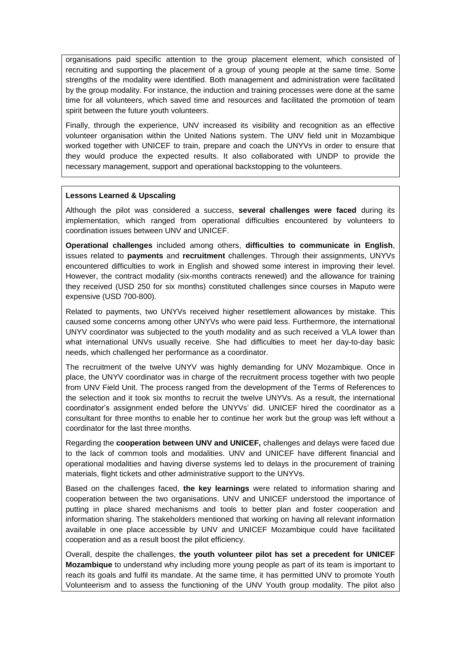organisations paid specific attention to the group placement element, which consisted of recruiting and supporting the placement of a group of young people at the same time. Some strengths of the modality were identified. Both management and administration were facilitated by the group modality. For instance, the induction and training processes were done at the same time for all volunteers, which saved time and resources and facilitated the promotion of team spirit between the future youth volunteers.

Finally, through the experience, UNV increased its visibility and recognition as an effective volunteer organisation within the United Nations system. The UNV field unit in Mozambique worked together with UNICEF to train, prepare and coach the UNYVs in order to ensure that they would produce the expected results. It also collaborated with UNDP to provide the necessary management, support and operational backstopping to the volunteers.

# **Lessons Learned & Upscaling**

Although the pilot was considered a success, **several challenges were faced** during its implementation, which ranged from operational difficulties encountered by volunteers to coordination issues between UNV and UNICEF.

**Operational challenges** included among others, **difficulties to communicate in English**, issues related to **payments** and **recruitment** challenges. Through their assignments, UNYVs encountered difficulties to work in English and showed some interest in improving their level. However, the contract modality (six-months contracts renewed) and the allowance for training they received (USD 250 for six months) constituted challenges since courses in Maputo were expensive (USD 700-800).

Related to payments, two UNYVs received higher resettlement allowances by mistake. This caused some concerns among other UNYVs who were paid less. Furthermore, the international UNYV coordinator was subjected to the youth modality and as such received a VLA lower than what international UNVs usually receive. She had difficulties to meet her day-to-day basic needs, which challenged her performance as a coordinator.

The recruitment of the twelve UNYV was highly demanding for UNV Mozambique. Once in place, the UNYV coordinator was in charge of the recruitment process together with two people from UNV Field Unit. The process ranged from the development of the Terms of References to the selection and it took six months to recruit the twelve UNYVs. As a result, the international coordinator's assignment ended before the UNYVs' did. UNICEF hired the coordinator as a consultant for three months to enable her to continue her work but the group was left without a coordinator for the last three months.

Regarding the **cooperation between UNV and UNICEF,** challenges and delays were faced due to the lack of common tools and modalities. UNV and UNICEF have different financial and operational modalities and having diverse systems led to delays in the procurement of training materials, flight tickets and other administrative support to the UNYVs.

Based on the challenges faced, **the key learnings** were related to information sharing and cooperation between the two organisations. UNV and UNICEF understood the importance of putting in place shared mechanisms and tools to better plan and foster cooperation and information sharing. The stakeholders mentioned that working on having all relevant information available in one place accessible by UNV and UNICEF Mozambique could have facilitated cooperation and as a result boost the pilot efficiency.

Overall, despite the challenges, **the youth volunteer pilot has set a precedent for UNICEF Mozambique** to understand why including more young people as part of its team is important to reach its goals and fulfil its mandate. At the same time, it has permitted UNV to promote Youth Volunteerism and to assess the functioning of the UNV Youth group modality. The pilot also